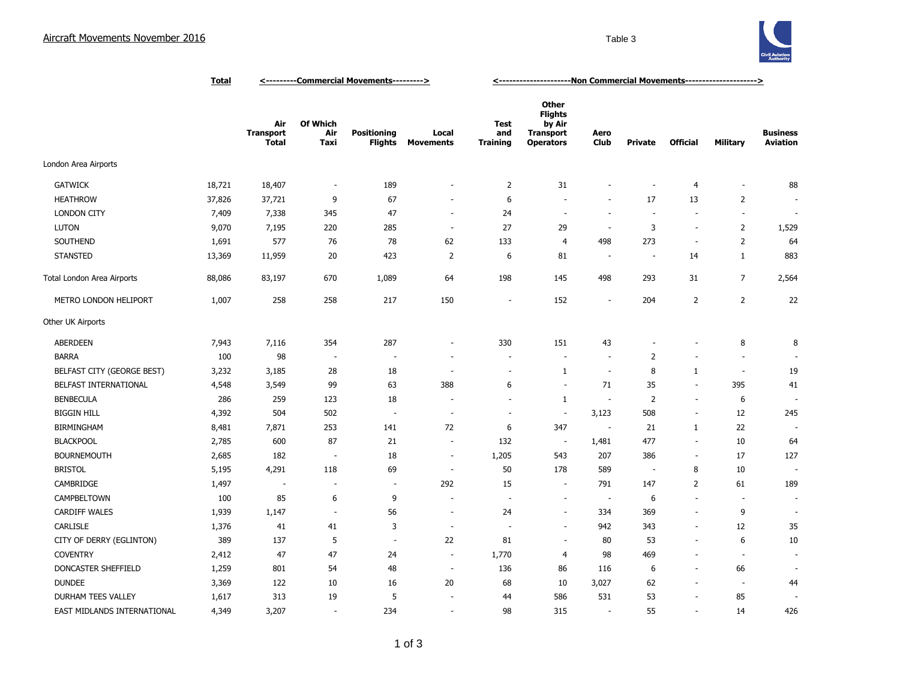

|                             | <u>Total</u> | <----------Commercial Movements---------> |                          |                               |                           | <---------------------Ron Commercial Movements---------------------> |                                                                                  |                          |                          |                          |                          |                                    |
|-----------------------------|--------------|-------------------------------------------|--------------------------|-------------------------------|---------------------------|----------------------------------------------------------------------|----------------------------------------------------------------------------------|--------------------------|--------------------------|--------------------------|--------------------------|------------------------------------|
|                             |              | Air<br><b>Transport</b><br><b>Total</b>   | Of Which<br>Air<br>Taxi  | <b>Positioning</b><br>Flights | Local<br><b>Movements</b> | Test<br>and<br>Training                                              | <b>Other</b><br><b>Flights</b><br>by Air<br><b>Transport</b><br><b>Operators</b> | Aero<br><b>Club</b>      | <b>Private</b>           | <b>Official</b>          | <b>Military</b>          | <b>Business</b><br><b>Aviation</b> |
| London Area Airports        |              |                                           |                          |                               |                           |                                                                      |                                                                                  |                          |                          |                          |                          |                                    |
| <b>GATWICK</b>              | 18,721       | 18,407                                    | $\overline{\phantom{a}}$ | 189                           | $\overline{a}$            | $\overline{2}$                                                       | 31                                                                               | ٠                        | $\overline{\phantom{a}}$ | 4                        | $\overline{\phantom{a}}$ | 88                                 |
| <b>HEATHROW</b>             | 37,826       | 37,721                                    | 9                        | 67                            | ٠                         | 6                                                                    | $\sim$                                                                           | $\overline{\phantom{a}}$ | 17                       | 13                       | $\overline{2}$           |                                    |
| <b>LONDON CITY</b>          | 7,409        | 7,338                                     | 345                      | 47                            | $\overline{a}$            | 24                                                                   | $\sim$                                                                           | ÷.                       | $\overline{\phantom{a}}$ | $\overline{\phantom{a}}$ | $\overline{\phantom{a}}$ |                                    |
| <b>LUTON</b>                | 9,070        | 7,195                                     | 220                      | 285                           | $\sim$                    | 27                                                                   | 29                                                                               | $\sim$                   | 3                        | $\sim$                   | $\overline{2}$           | 1,529                              |
| SOUTHEND                    | 1,691        | 577                                       | 76                       | 78                            | 62                        | 133                                                                  | $\overline{4}$                                                                   | 498                      | 273                      | $\overline{\phantom{a}}$ | $\overline{2}$           | 64                                 |
| <b>STANSTED</b>             | 13,369       | 11,959                                    | 20                       | 423                           | $\overline{2}$            | 6                                                                    | 81                                                                               | $\overline{\phantom{a}}$ | $\overline{\phantom{a}}$ | 14                       | $\mathbf{1}$             | 883                                |
| Total London Area Airports  | 88,086       | 83,197                                    | 670                      | 1,089                         | 64                        | 198                                                                  | 145                                                                              | 498                      | 293                      | 31                       | $\overline{7}$           | 2,564                              |
| METRO LONDON HELIPORT       | 1,007        | 258                                       | 258                      | 217                           | 150                       | $\overline{a}$                                                       | 152                                                                              | $\overline{\phantom{a}}$ | 204                      | $\overline{2}$           | $\overline{2}$           | 22                                 |
| Other UK Airports           |              |                                           |                          |                               |                           |                                                                      |                                                                                  |                          |                          |                          |                          |                                    |
| <b>ABERDEEN</b>             | 7,943        | 7,116                                     | 354                      | 287                           | ٠                         | 330                                                                  | 151                                                                              | 43                       |                          |                          | 8                        | 8                                  |
| <b>BARRA</b>                | 100          | 98                                        | $\overline{a}$           | $\overline{\phantom{a}}$      |                           | ٠                                                                    | $\overline{\phantom{a}}$                                                         | ٠                        | $\overline{2}$           |                          | $\sim$                   |                                    |
| BELFAST CITY (GEORGE BEST)  | 3,232        | 3,185                                     | 28                       | 18                            | $\overline{a}$            | $\overline{\phantom{a}}$                                             | 1                                                                                | $\overline{\phantom{a}}$ | 8                        | $\mathbf{1}$             | $\overline{\phantom{a}}$ | 19                                 |
| BELFAST INTERNATIONAL       | 4,548        | 3,549                                     | 99                       | 63                            | 388                       | 6                                                                    | $\overline{\phantom{a}}$                                                         | 71                       | 35                       | $\overline{\phantom{a}}$ | 395                      | 41                                 |
| <b>BENBECULA</b>            | 286          | 259                                       | 123                      | 18                            |                           | ÷                                                                    | 1                                                                                | $\overline{\phantom{a}}$ | $\overline{2}$           | $\overline{\phantom{a}}$ | 6                        | $\overline{\phantom{a}}$           |
| <b>BIGGIN HILL</b>          | 4,392        | 504                                       | 502                      | $\overline{\phantom{a}}$      | $\overline{\phantom{a}}$  | $\overline{\phantom{a}}$                                             | $\overline{\phantom{a}}$                                                         | 3,123                    | 508                      | $\overline{\phantom{a}}$ | 12                       | 245                                |
| <b>BIRMINGHAM</b>           | 8,481        | 7,871                                     | 253                      | 141                           | 72                        | 6                                                                    | 347                                                                              | $\sim$                   | 21                       | $\mathbf{1}$             | 22                       |                                    |
| <b>BLACKPOOL</b>            | 2,785        | 600                                       | 87                       | 21                            | $\overline{\phantom{a}}$  | 132                                                                  | $\overline{\phantom{a}}$                                                         | 1,481                    | 477                      | $\overline{\phantom{a}}$ | 10                       | 64                                 |
| <b>BOURNEMOUTH</b>          | 2,685        | 182                                       | $\overline{\phantom{a}}$ | 18                            | $\overline{\phantom{a}}$  | 1,205                                                                | 543                                                                              | 207                      | 386                      | ÷.                       | 17                       | 127                                |
| <b>BRISTOL</b>              | 5,195        | 4,291                                     | 118                      | 69                            | ٠.                        | 50                                                                   | 178                                                                              | 589                      | $\overline{\phantom{a}}$ | 8                        | 10                       |                                    |
| CAMBRIDGE                   | 1,497        | ÷,                                        | $\overline{\phantom{a}}$ | $\overline{\phantom{a}}$      | 292                       | 15                                                                   | $\sim$                                                                           | 791                      | 147                      | 2                        | 61                       | 189                                |
| CAMPBELTOWN                 | 100          | 85                                        | 6                        | 9                             | ÷                         | ÷                                                                    | $\sim$                                                                           | $\overline{\phantom{a}}$ | 6                        | $\sim$                   | $\overline{\phantom{a}}$ | $\overline{\phantom{a}}$           |
| <b>CARDIFF WALES</b>        | 1,939        | 1,147                                     | $\overline{\phantom{a}}$ | 56                            | $\sim$                    | 24                                                                   | $\sim$                                                                           | 334                      | 369                      | $\sim$                   | 9                        | ÷                                  |
| CARLISLE                    | 1,376        | 41                                        | 41                       | 3                             | $\sim$                    |                                                                      | $\overline{\phantom{a}}$                                                         | 942                      | 343                      | $\sim$                   | 12                       | 35                                 |
| CITY OF DERRY (EGLINTON)    | 389          | 137                                       | 5                        | $\overline{\phantom{a}}$      | 22                        | 81                                                                   | $\sim$                                                                           | 80                       | 53                       | $\overline{\phantom{a}}$ | 6                        | 10                                 |
| <b>COVENTRY</b>             | 2,412        | 47                                        | 47                       | 24                            | $\overline{\phantom{a}}$  | 1,770                                                                | 4                                                                                | 98                       | 469                      | $\overline{\phantom{a}}$ | $\overline{\phantom{a}}$ | $\overline{a}$                     |
| DONCASTER SHEFFIELD         | 1,259        | 801                                       | 54                       | 48                            | $\overline{\phantom{a}}$  | 136                                                                  | 86                                                                               | 116                      | 6                        | $\sim$                   | 66                       |                                    |
| <b>DUNDEE</b>               | 3,369        | 122                                       | 10                       | 16                            | 20                        | 68                                                                   | 10                                                                               | 3,027                    | 62                       | $\sim$                   | $\overline{\phantom{a}}$ | 44                                 |
| DURHAM TEES VALLEY          | 1,617        | 313                                       | 19                       | 5                             |                           | 44                                                                   | 586                                                                              | 531                      | 53                       | $\sim$                   | 85                       |                                    |
| EAST MIDLANDS INTERNATIONAL | 4,349        | 3,207                                     | $\sim$                   | 234                           | ÷,                        | 98                                                                   | 315                                                                              | ÷.                       | 55                       | $\sim$                   | 14                       | 426                                |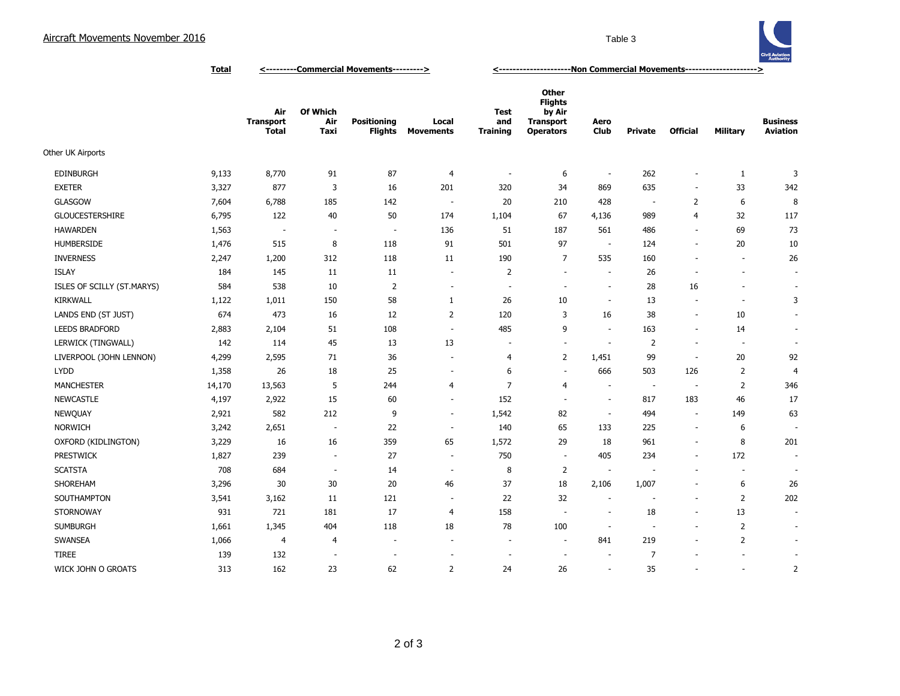

**Total <---------Commercial Movements---------> <---------------------Non Commercial Movements--------------------->**

|                            |        | Air<br><b>Transport</b><br><b>Total</b> | Of Which<br>Air<br>Taxi  | <b>Positioning</b><br><b>Flights</b> | Local<br><b>Movements</b> | <b>Test</b><br>and<br><b>Training</b> | <b>Other</b><br><b>Flights</b><br>by Air<br><b>Transport</b><br><b>Operators</b> | Aero<br>Club             | Private                  | <b>Official</b>          | <b>Military</b>          | <b>Business</b><br><b>Aviation</b> |
|----------------------------|--------|-----------------------------------------|--------------------------|--------------------------------------|---------------------------|---------------------------------------|----------------------------------------------------------------------------------|--------------------------|--------------------------|--------------------------|--------------------------|------------------------------------|
| Other UK Airports          |        |                                         |                          |                                      |                           |                                       |                                                                                  |                          |                          |                          |                          |                                    |
| <b>EDINBURGH</b>           | 9,133  | 8,770                                   | 91                       | 87                                   | 4                         | $\overline{\phantom{a}}$              | 6                                                                                | $\overline{\phantom{a}}$ | 262                      | $\overline{\phantom{a}}$ | $\mathbf{1}$             | 3                                  |
| <b>EXETER</b>              | 3,327  | 877                                     | 3                        | 16                                   | 201                       | 320                                   | 34                                                                               | 869                      | 635                      | $\overline{\phantom{a}}$ | 33                       | 342                                |
| <b>GLASGOW</b>             | 7,604  | 6,788                                   | 185                      | 142                                  | $\sim$                    | 20                                    | 210                                                                              | 428                      | $\sim$                   | $\overline{2}$           | 6                        | 8                                  |
| <b>GLOUCESTERSHIRE</b>     | 6,795  | 122                                     | 40                       | 50                                   | 174                       | 1,104                                 | 67                                                                               | 4,136                    | 989                      | $\overline{4}$           | 32                       | 117                                |
| <b>HAWARDEN</b>            | 1,563  | $\overline{\phantom{a}}$                | $\sim$                   | $\sim$                               | 136                       | 51                                    | 187                                                                              | 561                      | 486                      | $\sim$                   | 69                       | 73                                 |
| <b>HUMBERSIDE</b>          | 1,476  | 515                                     | 8                        | 118                                  | 91                        | 501                                   | 97                                                                               | $\sim$                   | 124                      | $\blacksquare$           | 20                       | 10                                 |
| <b>INVERNESS</b>           | 2,247  | 1,200                                   | 312                      | 118                                  | 11                        | 190                                   | $\overline{7}$                                                                   | 535                      | 160                      | ÷,                       | ÷.                       | 26                                 |
| <b>ISLAY</b>               | 184    | 145                                     | 11                       | 11                                   | $\overline{\phantom{a}}$  | $\overline{2}$                        | $\overline{\phantom{a}}$                                                         | $\sim$                   | 26                       | ÷                        | $\overline{\phantom{a}}$ | $\sim$                             |
| ISLES OF SCILLY (ST.MARYS) | 584    | 538                                     | 10                       | $\overline{2}$                       | $\overline{\phantom{a}}$  | $\overline{\phantom{a}}$              | $\sim$                                                                           | $\sim$                   | 28                       | 16                       | $\overline{\phantom{a}}$ | $\sim$                             |
| <b>KIRKWALL</b>            | 1,122  | 1,011                                   | 150                      | 58                                   | $\mathbf{1}$              | 26                                    | 10                                                                               | $\sim$                   | 13                       | $\overline{\phantom{a}}$ | $\overline{\phantom{a}}$ | 3                                  |
| LANDS END (ST JUST)        | 674    | 473                                     | 16                       | 12                                   | $\overline{2}$            | 120                                   | 3                                                                                | 16                       | 38                       | $\blacksquare$           | 10                       |                                    |
| <b>LEEDS BRADFORD</b>      | 2,883  | 2,104                                   | 51                       | 108                                  | $\overline{\phantom{a}}$  | 485                                   | 9                                                                                | ÷.                       | 163                      | $\overline{\phantom{a}}$ | 14                       | $\overline{\phantom{a}}$           |
| LERWICK (TINGWALL)         | 142    | 114                                     | 45                       | 13                                   | 13                        | $\overline{\phantom{a}}$              | $\overline{\phantom{a}}$                                                         | $\sim$                   | $\overline{2}$           | $\overline{\phantom{a}}$ | ÷.                       |                                    |
| LIVERPOOL (JOHN LENNON)    | 4,299  | 2,595                                   | 71                       | 36                                   | $\overline{\phantom{a}}$  | 4                                     | $\overline{2}$                                                                   | 1,451                    | 99                       | $\overline{\phantom{a}}$ | 20                       | 92                                 |
| <b>LYDD</b>                | 1,358  | 26                                      | 18                       | 25                                   | ٠                         | 6                                     | $\sim$                                                                           | 666                      | 503                      | 126                      | $\overline{2}$           | 4                                  |
| <b>MANCHESTER</b>          | 14,170 | 13,563                                  | 5                        | 244                                  | 4                         | $\overline{7}$                        | $\overline{4}$                                                                   | $\overline{\phantom{a}}$ | $\sim$                   | $\overline{\phantom{a}}$ | $\overline{2}$           | 346                                |
| <b>NEWCASTLE</b>           | 4,197  | 2,922                                   | 15                       | 60                                   | $\sim$                    | 152                                   | ×.                                                                               | $\sim$                   | 817                      | 183                      | 46                       | 17                                 |
| NEWQUAY                    | 2,921  | 582                                     | 212                      | 9                                    | $\overline{\phantom{a}}$  | 1,542                                 | 82                                                                               | $\sim$                   | 494                      | $\sim$                   | 149                      | 63                                 |
| <b>NORWICH</b>             | 3,242  | 2,651                                   | $\overline{\phantom{a}}$ | 22                                   | $\sim$                    | 140                                   | 65                                                                               | 133                      | 225                      | $\blacksquare$           | 6                        | $\overline{\phantom{a}}$           |
| OXFORD (KIDLINGTON)        | 3,229  | 16                                      | 16                       | 359                                  | 65                        | 1,572                                 | 29                                                                               | 18                       | 961                      | $\overline{\phantom{a}}$ | 8                        | 201                                |
| PRESTWICK                  | 1,827  | 239                                     | $\sim$                   | 27                                   | $\overline{\phantom{a}}$  | 750                                   | $\overline{\phantom{a}}$                                                         | 405                      | 234                      | $\overline{\phantom{a}}$ | 172                      | $\overline{\phantom{a}}$           |
| <b>SCATSTA</b>             | 708    | 684                                     | $\sim$                   | 14                                   | $\overline{\phantom{a}}$  | 8                                     | $\overline{2}$                                                                   | $\overline{\phantom{a}}$ | ÷.                       | ÷.                       | ÷.                       | $\sim$                             |
| SHOREHAM                   | 3,296  | 30                                      | 30                       | 20                                   | 46                        | 37                                    | 18                                                                               | 2,106                    | 1,007                    | $\overline{\phantom{a}}$ | 6                        | 26                                 |
| SOUTHAMPTON                | 3,541  | 3,162                                   | 11                       | 121                                  | $\overline{\phantom{a}}$  | 22                                    | 32                                                                               | ÷.                       |                          | $\overline{\phantom{a}}$ | $\overline{2}$           | 202                                |
| <b>STORNOWAY</b>           | 931    | 721                                     | 181                      | 17                                   | 4                         | 158                                   | $\sim$                                                                           | $\sim$                   | 18                       | $\overline{\phantom{a}}$ | 13                       |                                    |
| <b>SUMBURGH</b>            | 1,661  | 1,345                                   | 404                      | 118                                  | 18                        | 78                                    | 100                                                                              | $\overline{\phantom{a}}$ | $\overline{\phantom{a}}$ | $\overline{\phantom{a}}$ | $\overline{2}$           |                                    |
| SWANSEA                    | 1,066  | $\overline{4}$                          | 4                        | $\overline{\phantom{a}}$             | $\sim$                    | $\sim$                                | $\sim$                                                                           | 841                      | 219                      | $\blacksquare$           | $\overline{2}$           | $\sim$                             |
| <b>TIREE</b>               | 139    | 132                                     | $\sim$                   | $\overline{\phantom{a}}$             |                           |                                       | ÷,                                                                               | $\sim$                   | $\overline{7}$           | ä,                       |                          | $\overline{\phantom{a}}$           |
| WICK JOHN O GROATS         | 313    | 162                                     | 23                       | 62                                   | $\overline{2}$            | 24                                    | 26                                                                               | ÷.                       | 35                       | ä,                       | $\sim$                   | $\overline{2}$                     |